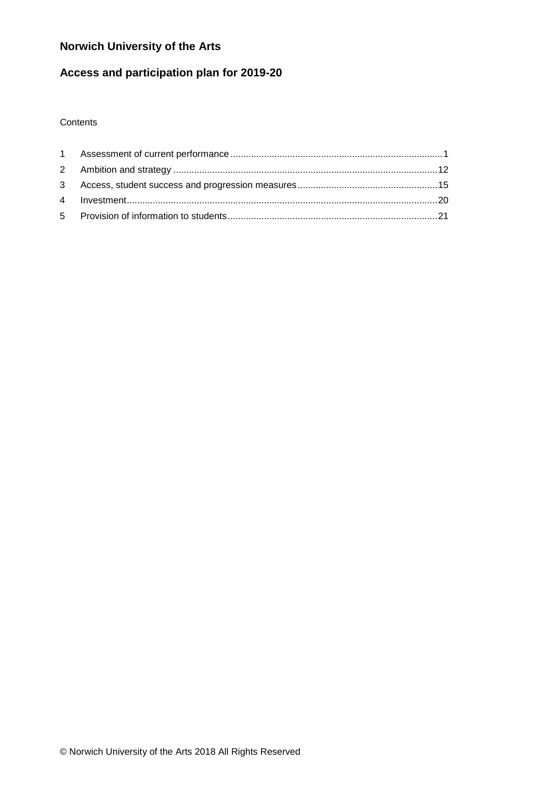# **Norwich University of the Arts**

# **Access and participation plan for 2019-20**

### **Contents**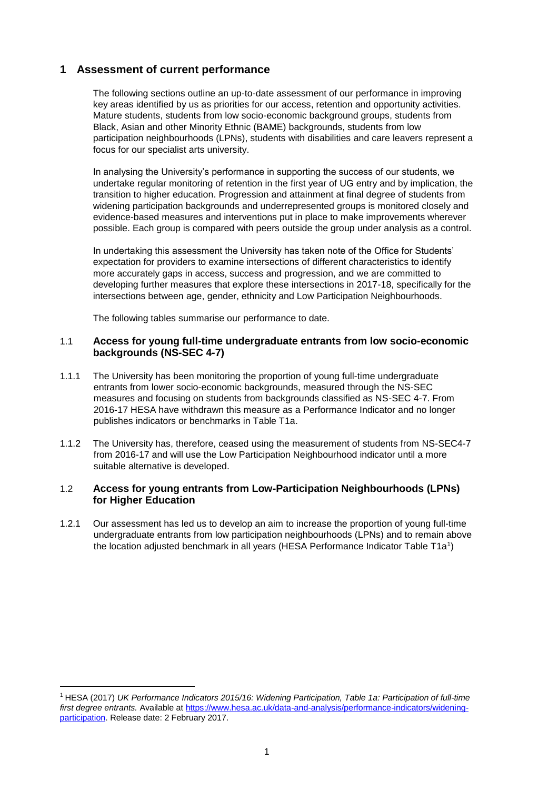# <span id="page-1-0"></span> **1 Assessment of current performance**

 key areas identified by us as priorities for our access, retention and opportunity activities. The following sections outline an up-to-date assessment of our performance in improving Mature students, students from low socio-economic background groups, students from Black, Asian and other Minority Ethnic (BAME) backgrounds, students from low participation neighbourhoods (LPNs), students with disabilities and care leavers represent a focus for our specialist arts university.

 undertake regular monitoring of retention in the first year of UG entry and by implication, the possible. Each group is compared with peers outside the group under analysis as a control. In analysing the University's performance in supporting the success of our students, we transition to higher education. Progression and attainment at final degree of students from widening participation backgrounds and underrepresented groups is monitored closely and evidence-based measures and interventions put in place to make improvements wherever

 In undertaking this assessment the University has taken note of the Office for Students' intersections between age, gender, ethnicity and Low Participation Neighbourhoods. expectation for providers to examine intersections of different characteristics to identify more accurately gaps in access, success and progression, and we are committed to developing further measures that explore these intersections in 2017-18, specifically for the

The following tables summarise our performance to date.

### 1.1 **Access for young full-time undergraduate entrants from low socio-economic backgrounds (NS-SEC 4-7)**

- 1.1.1 The University has been monitoring the proportion of young full-time undergraduate 2016-17 HESA have withdrawn this measure as a Performance Indicator and no longer entrants from lower socio-economic backgrounds, measured through the NS-SEC measures and focusing on students from backgrounds classified as NS-SEC 4-7. From publishes indicators or benchmarks in Table T1a.
- 1.1.2 The University has, therefore, ceased using the measurement of students from NS-SEC4-7 from 2016-17 and will use the Low Participation Neighbourhood indicator until a more suitable alternative is developed.

### 1.2 **Access for young entrants from Low-Participation Neighbourhoods (LPNs) for Higher Education**

the location adjusted benchmark in all years (HESA Performance Indicator Table T1a<sup>1</sup>) 1.2.1 Our assessment has led us to develop an aim to increase the proportion of young full-time undergraduate entrants from low participation neighbourhoods (LPNs) and to remain above

 $\overline{a}$ 

<sup>&</sup>lt;sup>1</sup> HESA (2017) *UK Performance Indicators 2015/16: Widening Participation, Table 1a: Participation of full-time first degree entrants.* Available at [https://www.hesa.ac.uk/data-and-analysis/performance-indicators/widening](https://www.hesa.ac.uk/data-and-analysis/performance-indicators/widening-participation)[participation.](https://www.hesa.ac.uk/data-and-analysis/performance-indicators/widening-participation) Release date: 2 February 2017.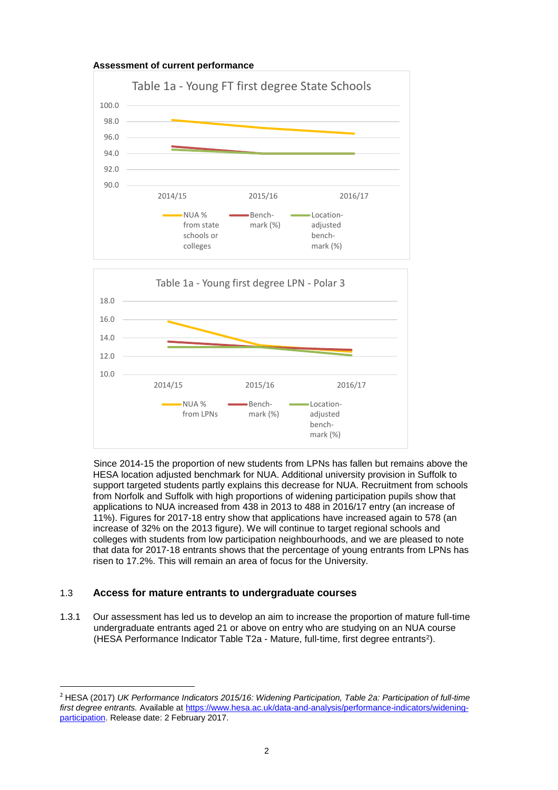

 HESA location adjusted benchmark for NUA. Additional university provision in Suffolk to support targeted students partly explains this decrease for NUA. Recruitment from schools from Norfolk and Suffolk with high proportions of widening participation pupils show that applications to NUA increased from 438 in 2013 to 488 in 2016/17 entry (an increase of increase of 32% on the 2013 figure). We will continue to target regional schools and Since 2014-15 the proportion of new students from LPNs has fallen but remains above the 11%). Figures for 2017-18 entry show that applications have increased again to 578 (an colleges with students from low participation neighbourhoods, and we are pleased to note that data for 2017-18 entrants shows that the percentage of young entrants from LPNs has risen to 17.2%. This will remain an area of focus for the University.

### 1.3 **Access for mature entrants to undergraduate courses**

 $\overline{a}$ 

 undergraduate entrants aged 21 or above on entry who are studying on an NUA course (HESA Performance Indicator Table T2a - Mature, full-time, first degree entrants2). 1.3.1 Our assessment has led us to develop an aim to increase the proportion of mature full-time

<sup>&</sup>lt;sup>2</sup> HESA (2017) *UK Performance Indicators 2015/16: Widening Participation, Table 2a: Participation of full-time first degree entrants.* Available at [https://www.hesa.ac.uk/data-and-analysis/performance-indicators/widening](https://www.hesa.ac.uk/data-and-analysis/performance-indicators/widening-participation)[participation.](https://www.hesa.ac.uk/data-and-analysis/performance-indicators/widening-participation) Release date: 2 February 2017.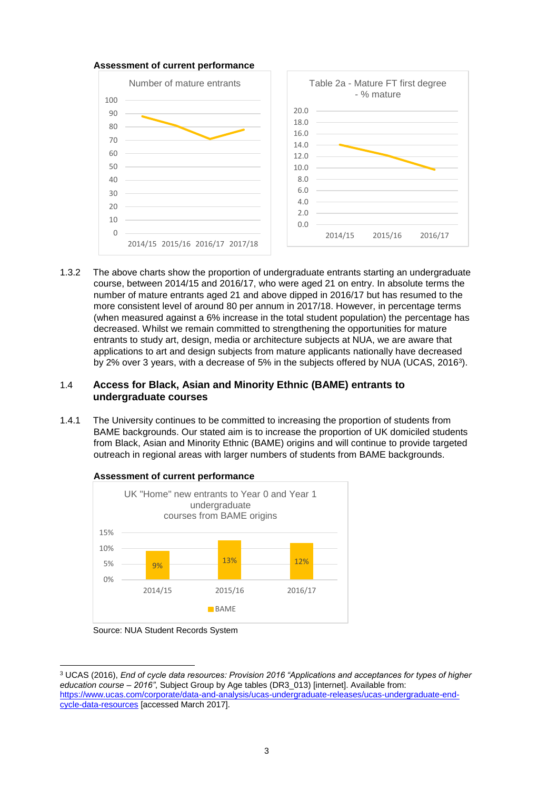

 course, between 2014/15 and 2016/17, who were aged 21 on entry. In absolute terms the number of mature entrants aged 21 and above dipped in 2016/17 but has resumed to the more consistent level of around 80 per annum in 2017/18. However, in percentage terms applications to art and design subjects from mature applicants nationally have decreased by 2% over 3 years, with a decrease of 5% in the subjects offered by NUA (UCAS, 20163). 1.3.2 The above charts show the proportion of undergraduate entrants starting an undergraduate (when measured against a 6% increase in the total student population) the percentage has decreased. Whilst we remain committed to strengthening the opportunities for mature entrants to study art, design, media or architecture subjects at NUA, we are aware that

### 1.4 **Access for Black, Asian and Minority Ethnic (BAME) entrants to undergraduate courses**

 BAME backgrounds. Our stated aim is to increase the proportion of UK domiciled students from Black, Asian and Minority Ethnic (BAME) origins and will continue to provide targeted outreach in regional areas with larger numbers of students from BAME backgrounds. 1.4.1 The University continues to be committed to increasing the proportion of students from



Source: NUA Student Records System

 $\overline{a}$  *education course – 2016"*, Subject Group by Age tables (DR3\_013) [internet]. Available from: 3 UCAS (2016), *End of cycle data resources: Provision 2016 "Applications and acceptances for types of higher*  [https://www.ucas.com/corporate/data-and-analysis/ucas-undergraduate-releases/ucas-undergraduate-end](https://www.ucas.com/corporate/data-and-analysis/ucas-undergraduate-releases/ucas-undergraduate-end-cycle-data-resources)[cycle-data-resources](https://www.ucas.com/corporate/data-and-analysis/ucas-undergraduate-releases/ucas-undergraduate-end-cycle-data-resources) [accessed March 2017].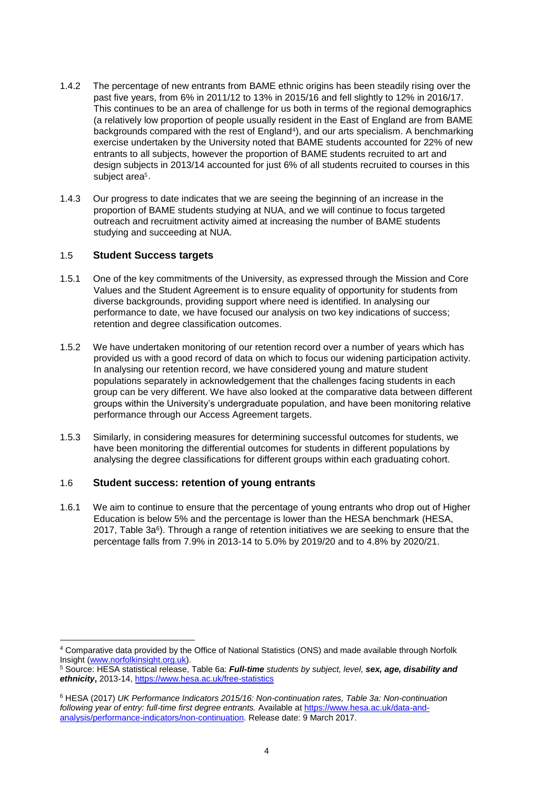- (a relatively low proportion of people usually resident in the East of England are from BAME backgrounds compared with the rest of England<sup>4</sup>), and our arts specialism. A benchmarking 1.4.2 The percentage of new entrants from BAME ethnic origins has been steadily rising over the past five years, from 6% in 2011/12 to 13% in 2015/16 and fell slightly to 12% in 2016/17. This continues to be an area of challenge for us both in terms of the regional demographics exercise undertaken by the University noted that BAME students accounted for 22% of new entrants to all subjects, however the proportion of BAME students recruited to art and design subjects in 2013/14 accounted for just 6% of all students recruited to courses in this subject area<sup>5</sup>.
- outreach and recruitment activity aimed at increasing the number of BAME students 1.4.3 Our progress to date indicates that we are seeing the beginning of an increase in the proportion of BAME students studying at NUA, and we will continue to focus targeted studying and succeeding at NUA.

### 1.5 **Student Success targets**

- 1.5.1 One of the key commitments of the University, as expressed through the Mission and Core retention and degree classification outcomes. Values and the Student Agreement is to ensure equality of opportunity for students from diverse backgrounds, providing support where need is identified. In analysing our performance to date, we have focused our analysis on two key indications of success;
- 1.5.2 We have undertaken monitoring of our retention record over a number of years which has group can be very different. We have also looked at the comparative data between different provided us with a good record of data on which to focus our widening participation activity. In analysing our retention record, we have considered young and mature student populations separately in acknowledgement that the challenges facing students in each groups within the University's undergraduate population, and have been monitoring relative performance through our Access Agreement targets.
- have been monitoring the differential outcomes for students in different populations by 1.5.3 Similarly, in considering measures for determining successful outcomes for students, we analysing the degree classifications for different groups within each graduating cohort.

### 1.6 **Student success: retention of young entrants**

 percentage falls from 7.9% in 2013-14 to 5.0% by 2019/20 and to 4.8% by 2020/21. 1.6.1 We aim to continue to ensure that the percentage of young entrants who drop out of Higher Education is below 5% and the percentage is lower than the HESA benchmark (HESA, 2017, Table  $3a<sup>6</sup>$ ). Through a range of retention initiatives we are seeking to ensure that the

 $\overline{a}$ <sup>4</sup> Comparative data provided by the Office of National Statistics (ONS) and made available through Norfolk Insight (www.norfolkinsight.org.uk).

Insight (<u>www.norfolkinsight.org.uk</u>).<br><sup>5</sup> Source: HESA statistical release, Table 6a: *Full-time students by subject, level, sex, age, disability and ethnicity***,** 2013-14,<https://www.hesa.ac.uk/free-statistics>

 [analysis/performance-indicators/non-continuation](https://www.hesa.ac.uk/data-and-analysis/performance-indicators/non-continuation)*.* Release date: 9 March 2017. 6 HESA (2017) *UK Performance Indicators 2015/16: Non-continuation rates, Table 3a: Non-continuation following year of entry: full-time first degree entrants. Available a[t https://www.hesa.ac.uk/data-and-](https://www.hesa.ac.uk/data-and-analysis/performance-indicators/non-continuation)*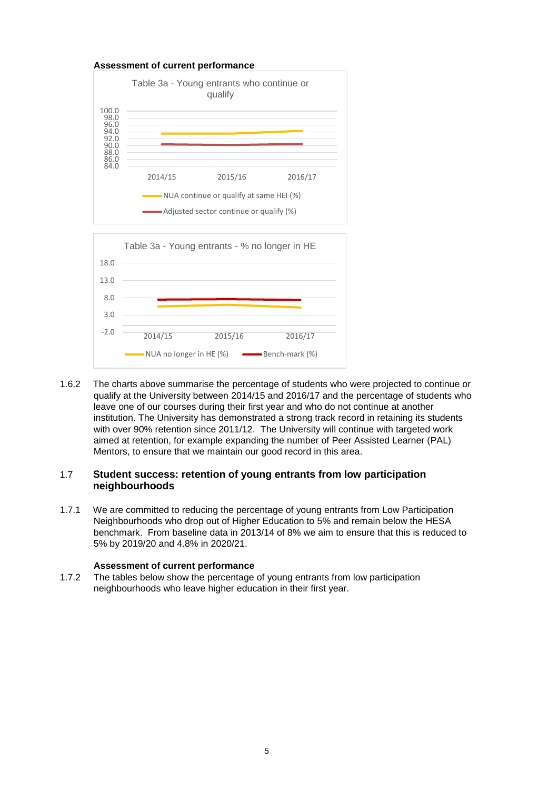

 1.6.2 The charts above summarise the percentage of students who were projected to continue or qualify at the University between 2014/15 and 2016/17 and the percentage of students who leave one of our courses during their first year and who do not continue at another with over 90% retention since 2011/12. The University will continue with targeted work aimed at retention, for example expanding the number of Peer Assisted Learner (PAL) Mentors, to ensure that we maintain our good record in this area. institution. The University has demonstrated a strong track record in retaining its students

# Mentors, to ensure that we maintain our good record in this area. 1.7 **Student success: retention of young entrants from low participation neighbourhoods**

 Neighbourhoods who drop out of Higher Education to 5% and remain below the HESA 1.7.1 We are committed to reducing the percentage of young entrants from Low Participation benchmark. From baseline data in 2013/14 of 8% we aim to ensure that this is reduced to 5% by 2019/20 and 4.8% in 2020/21.

### **Assessment of current performance**

 1.7.2 The tables below show the percentage of young entrants from low participation neighbourhoods who leave higher education in their first year.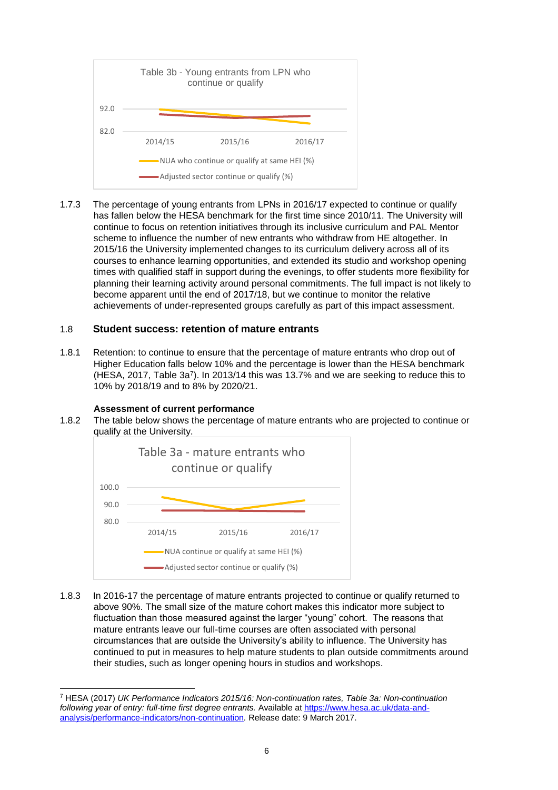

 1.7.3 The percentage of young entrants from LPNs in 2016/17 expected to continue or qualify has fallen below the HESA benchmark for the first time since 2010/11. The University will 2015/16 the University implemented changes to its curriculum delivery across all of its courses to enhance learning opportunities, and extended its studio and workshop opening planning their learning activity around personal commitments. The full impact is not likely to become apparent until the end of 2017/18, but we continue to monitor the relative continue to focus on retention initiatives through its inclusive curriculum and PAL Mentor scheme to influence the number of new entrants who withdraw from HE altogether. In times with qualified staff in support during the evenings, to offer students more flexibility for achievements of under-represented groups carefully as part of this impact assessment.

### 1.8 **Student success: retention of mature entrants**

 10% by 2018/19 and to 8% by 2020/21. 1.8.1 Retention: to continue to ensure that the percentage of mature entrants who drop out of Higher Education falls below 10% and the percentage is lower than the HESA benchmark (HESA, 2017, Table 3a7). In 2013/14 this was 13.7% and we are seeking to reduce this to

### **Assessment of current performance**

 $\overline{a}$ 

 1.8.2 The table below shows the percentage of mature entrants who are projected to continue or qualify at the University.



 above 90%. The small size of the mature cohort makes this indicator more subject to circumstances that are outside the University's ability to influence. The University has continued to put in measures to help mature students to plan outside commitments around 1.8.3 In 2016-17 the percentage of mature entrants projected to continue or qualify returned to fluctuation than those measured against the larger "young" cohort. The reasons that mature entrants leave our full-time courses are often associated with personal their studies, such as longer opening hours in studios and workshops.

 [analysis/performance-indicators/non-continuation](https://www.hesa.ac.uk/data-and-analysis/performance-indicators/non-continuation)*.* Release date: 9 March 2017. 7 HESA (2017) *UK Performance Indicators 2015/16: Non-continuation rates, Table 3a: Non-continuation following year of entry: full-time first degree entrants.* Available a[t https://www.hesa.ac.uk/data-and-](https://www.hesa.ac.uk/data-and-analysis/performance-indicators/non-continuation)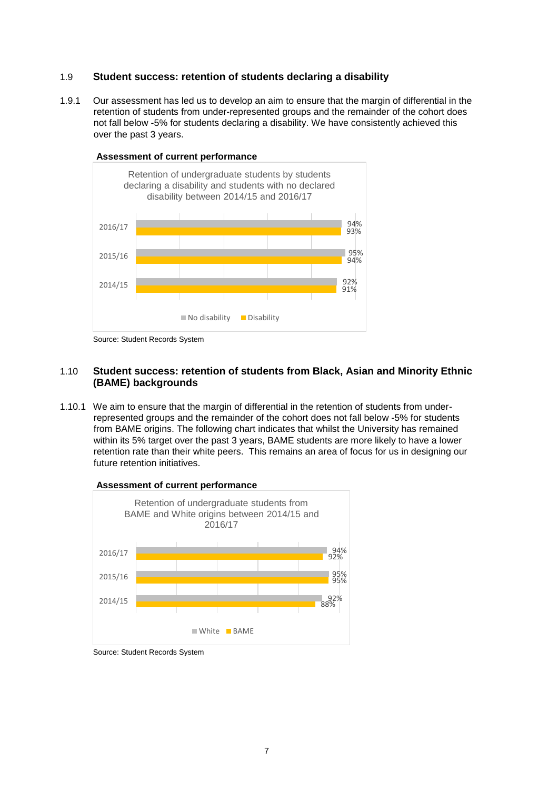## 1.9 **Student success: retention of students declaring a disability**

 retention of students from under-represented groups and the remainder of the cohort does not fall below -5% for students declaring a disability. We have consistently achieved this over the past 3 years. 1.9.1 Our assessment has led us to develop an aim to ensure that the margin of differential in the



Source: Student Records System

### 1.10 **Student success: retention of students from Black, Asian and Minority Ethnic (BAME) backgrounds**

 1.10.1 We aim to ensure that the margin of differential in the retention of students from underrepresented groups and the remainder of the cohort does not fall below -5% for students from BAME origins. The following chart indicates that whilst the University has remained within its 5% target over the past 3 years, BAME students are more likely to have a lower retention rate than their white peers. This remains an area of focus for us in designing our future retention initiatives.



**Assessment of current performance** 

 Source: Student Records System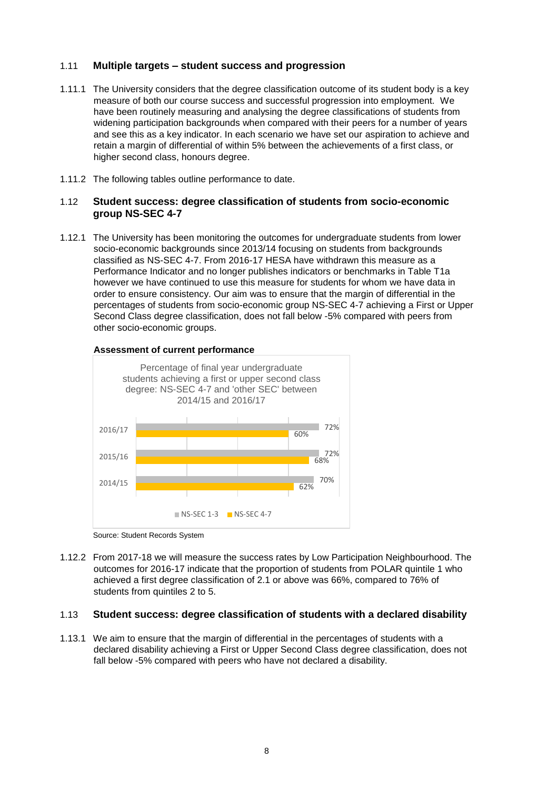## 1.11 **Multiple targets – student success and progression**

- measure of both our course success and successful progression into employment. We have been routinely measuring and analysing the degree classifications of students from widening participation backgrounds when compared with their peers for a number of years retain a margin of differential of within 5% between the achievements of a first class, or higher second class, honours degree. 1.11.1 The University considers that the degree classification outcome of its student body is a key and see this as a key indicator. In each scenario we have set our aspiration to achieve and
- 1.11.2 The following tables outline performance to date.

### 1.12 **Student success: degree classification of students from socio-economic group NS-SEC 4-7**

 1.12.1 The University has been monitoring the outcomes for undergraduate students from lower Performance Indicator and no longer publishes indicators or benchmarks in Table T1a order to ensure consistency. Our aim was to ensure that the margin of differential in the socio-economic backgrounds since 2013/14 focusing on students from backgrounds classified as NS-SEC 4-7. From 2016-17 HESA have withdrawn this measure as a however we have continued to use this measure for students for whom we have data in percentages of students from socio-economic group NS-SEC 4-7 achieving a First or Upper Second Class degree classification, does not fall below -5% compared with peers from other socio-economic groups.



#### **Assessment of current performance**

 1.12.2 From 2017-18 we will measure the success rates by Low Participation Neighbourhood. The achieved a first degree classification of 2.1 or above was 66%, compared to 76% of outcomes for 2016-17 indicate that the proportion of students from POLAR quintile 1 who students from quintiles 2 to 5.

### 1.13 **Student success: degree classification of students with a declared disability**

 1.13.1 We aim to ensure that the margin of differential in the percentages of students with a fall below -5% compared with peers who have not declared a disability. declared disability achieving a First or Upper Second Class degree classification, does not

 Source: Student Records System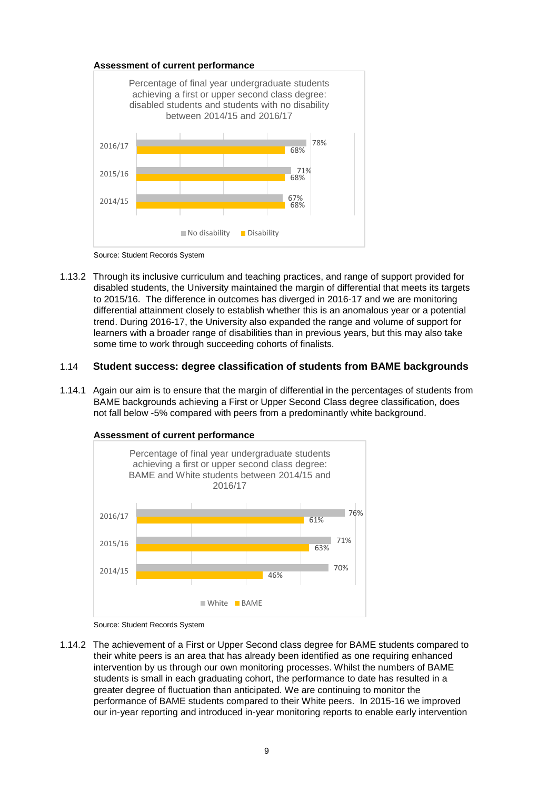

Source: Student Records System

 disabled students, the University maintained the margin of differential that meets its targets some time to work through succeeding cohorts of finalists. 1.13.2 Through its inclusive curriculum and teaching practices, and range of support provided for to 2015/16. The difference in outcomes has diverged in 2016-17 and we are monitoring differential attainment closely to establish whether this is an anomalous year or a potential trend. During 2016-17, the University also expanded the range and volume of support for learners with a broader range of disabilities than in previous years, but this may also take

### 1.14 **Student success: degree classification of students from BAME backgrounds**

 1.14.1 Again our aim is to ensure that the margin of differential in the percentages of students from not fall below -5% compared with peers from a predominantly white background. BAME backgrounds achieving a First or Upper Second Class degree classification, does





 their white peers is an area that has already been identified as one requiring enhanced intervention by us through our own monitoring processes. Whilst the numbers of BAME 1.14.2 The achievement of a First or Upper Second class degree for BAME students compared to students is small in each graduating cohort, the performance to date has resulted in a greater degree of fluctuation than anticipated. We are continuing to monitor the performance of BAME students compared to their White peers. In 2015-16 we improved our in-year reporting and introduced in-year monitoring reports to enable early intervention

 Source: Student Records System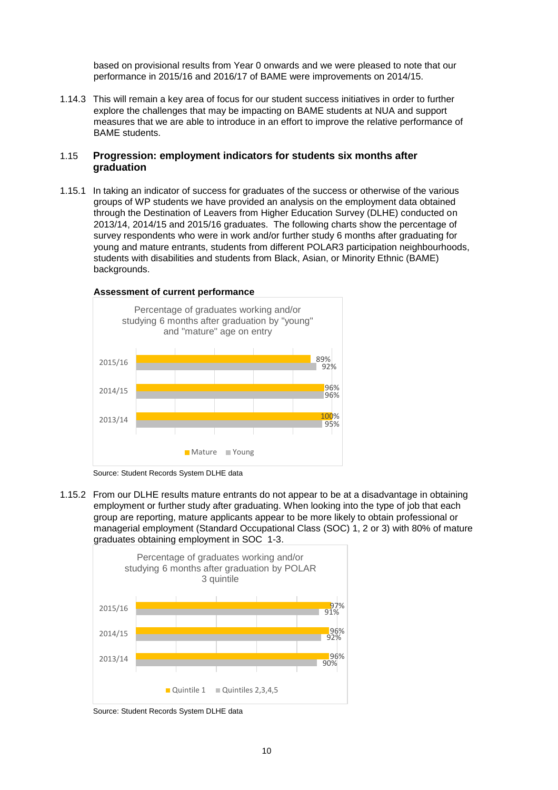based on provisional results from Year 0 onwards and we were pleased to note that our performance in 2015/16 and 2016/17 of BAME were improvements on 2014/15.

 explore the challenges that may be impacting on BAME students at NUA and support 1.14.3 This will remain a key area of focus for our student success initiatives in order to further measures that we are able to introduce in an effort to improve the relative performance of BAME students.

### **graduation**  1.15 **Progression: employment indicators for students six months after**

 1.15.1 In taking an indicator of success for graduates of the success or otherwise of the various groups of WP students we have provided an analysis on the employment data obtained 2013/14, 2014/15 and 2015/16 graduates. The following charts show the percentage of survey respondents who were in work and/or further study 6 months after graduating for through the Destination of Leavers from Higher Education Survey (DLHE) conducted on young and mature entrants, students from different POLAR3 participation neighbourhoods, students with disabilities and students from Black, Asian, or Minority Ethnic (BAME) backgrounds.





1.15.2 From our DLHE results mature entrants do not appear to be at a disadvantage in obtaining employment or further study after graduating. When looking into the type of job that each group are reporting, mature applicants appear to be more likely to obtain professional or managerial employment (Standard Occupational Class (SOC) 1, 2 or 3) with 80% of mature graduates obtaining employment in SOC 1-3.



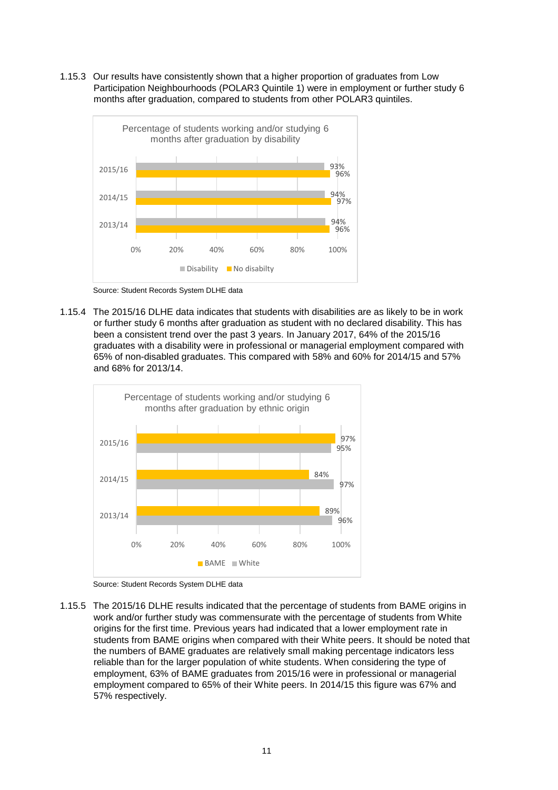1.15.3 Our results have consistently shown that a higher proportion of graduates from Low Participation Neighbourhoods (POLAR3 Quintile 1) were in employment or further study 6 months after graduation, compared to students from other POLAR3 quintiles.



Source: Student Records System DLHE data

 1.15.4 The 2015/16 DLHE data indicates that students with disabilities are as likely to be in work or further study 6 months after graduation as student with no declared disability. This has been a consistent trend over the past 3 years. In January 2017, 64% of the 2015/16 graduates with a disability were in professional or managerial employment compared with 65% of non-disabled graduates. This compared with 58% and 60% for 2014/15 and 57% and 68% for 2013/14.



Source: Student Records System DLHE data

 1.15.5 The 2015/16 DLHE results indicated that the percentage of students from BAME origins in origins for the first time. Previous years had indicated that a lower employment rate in students from BAME origins when compared with their White peers. It should be noted that the numbers of BAME graduates are relatively small making percentage indicators less reliable than for the larger population of white students. When considering the type of employment, 63% of BAME graduates from 2015/16 were in professional or managerial employment compared to 65% of their White peers. In 2014/15 this figure was 67% and work and/or further study was commensurate with the percentage of students from White 57% respectively.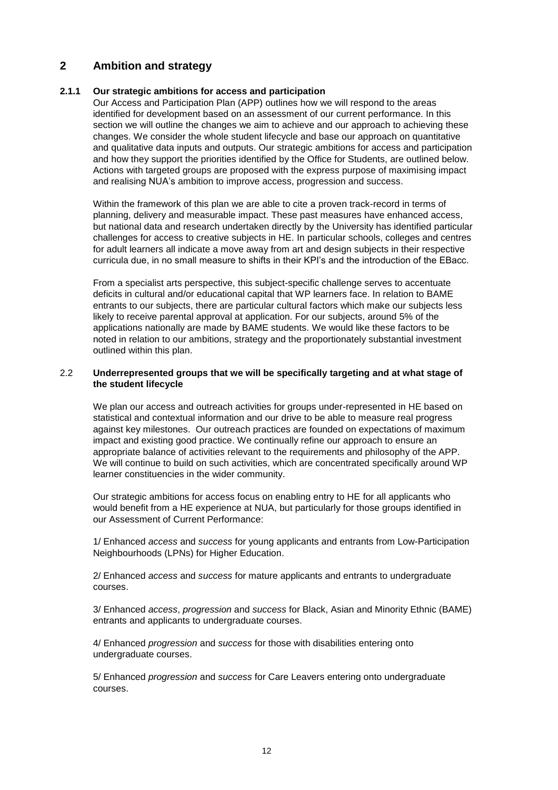# **Ambition and strategy**

# <span id="page-12-0"></span>**2 Ambition and strategy 2.1.1 Our strategic ambitions for access and participation**

 changes. We consider the whole student lifecycle and base our approach on quantitative and how they support the priorities identified by the Office for Students, are outlined below. Actions with targeted groups are proposed with the express purpose of maximising impact and realising NUA's ambition to improve access, progression and success. Our Access and Participation Plan (APP) outlines how we will respond to the areas identified for development based on an assessment of our current performance. In this section we will outline the changes we aim to achieve and our approach to achieving these and qualitative data inputs and outputs. Our strategic ambitions for access and participation

 Within the framework of this plan we are able to cite a proven track-record in terms of but national data and research undertaken directly by the University has identified particular challenges for access to creative subjects in HE. In particular schools, colleges and centres for adult learners all indicate a move away from art and design subjects in their respective curricula due, in no small measure to shifts in their KPI's and the introduction of the EBacc. planning, delivery and measurable impact. These past measures have enhanced access,

 deficits in cultural and/or educational capital that WP learners face. In relation to BAME applications nationally are made by BAME students. We would like these factors to be outlined within this plan. From a specialist arts perspective, this subject-specific challenge serves to accentuate entrants to our subjects, there are particular cultural factors which make our subjects less likely to receive parental approval at application. For our subjects, around 5% of the noted in relation to our ambitions, strategy and the proportionately substantial investment

### 2.2 **Underrepresented groups that we will be specifically targeting and at what stage of the student lifecycle**

 We plan our access and outreach activities for groups under-represented in HE based on statistical and contextual information and our drive to be able to measure real progress against key milestones. Our outreach practices are founded on expectations of maximum appropriate balance of activities relevant to the requirements and philosophy of the APP. We will continue to build on such activities, which are concentrated specifically around WP impact and existing good practice. We continually refine our approach to ensure an learner constituencies in the wider community.

 would benefit from a HE experience at NUA, but particularly for those groups identified in Our strategic ambitions for access focus on enabling entry to HE for all applicants who our Assessment of Current Performance:

 1/ Enhanced *access* and *success* for young applicants and entrants from Low-Participation Neighbourhoods (LPNs) for Higher Education.

 2/ Enhanced *access* and *success* for mature applicants and entrants to undergraduate courses.

 3/ Enhanced *access*, *progression* and *success* for Black, Asian and Minority Ethnic (BAME) entrants and applicants to undergraduate courses.

 4/ Enhanced *progression* and *success* for those with disabilities entering onto undergraduate courses.

undergraduate courses.<br>5/ Enhanced *progression* and *success* for Care Leavers entering onto undergraduate courses.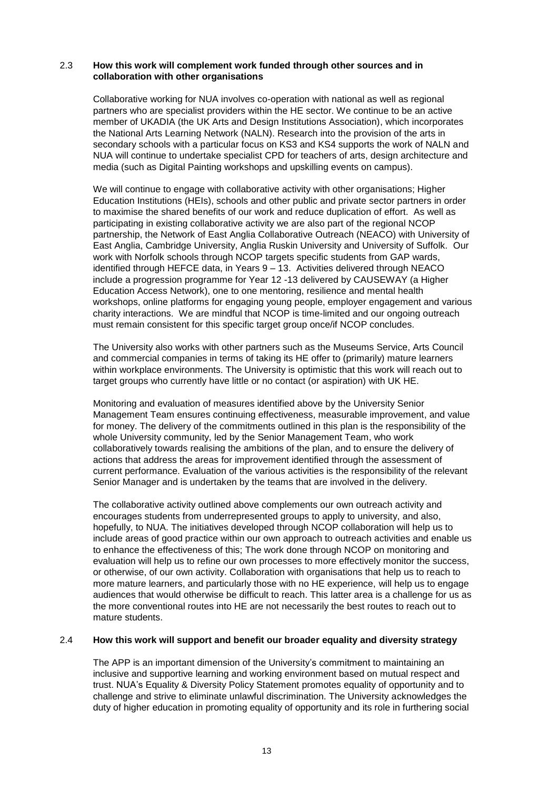### 2.3 **How this work will complement work funded through other sources and in collaboration with other organisations**

 Collaborative working for NUA involves co-operation with national as well as regional partners who are specialist providers within the HE sector. We continue to be an active secondary schools with a particular focus on KS3 and KS4 supports the work of NALN and media (such as Digital Painting workshops and upskilling events on campus). member of UKADIA (the UK Arts and Design Institutions Association), which incorporates the National Arts Learning Network (NALN). Research into the provision of the arts in NUA will continue to undertake specialist CPD for teachers of arts, design architecture and

 to maximise the shared benefits of our work and reduce duplication of effort. As well as partnership, the Network of East Anglia Collaborative Outreach (NEACO) with University of East Anglia, Cambridge University, Anglia Ruskin University and University of Suffolk. Our work with Norfolk schools through NCOP targets specific students from GAP wards, identified through HEFCE data, in Years 9 – 13. Activities delivered through NEACO include a progression programme for Year 12 -13 delivered by CAUSEWAY (a Higher Education Access Network), one to one mentoring, resilience and mental health workshops, online platforms for engaging young people, employer engagement and various charity interactions. We are mindful that NCOP is time-limited and our ongoing outreach We will continue to engage with collaborative activity with other organisations; Higher Education Institutions (HEIs), schools and other public and private sector partners in order participating in existing collaborative activity we are also part of the regional NCOP must remain consistent for this specific target group once/if NCOP concludes.

The University also works with other partners such as the Museums Service, Arts Council and commercial companies in terms of taking its HE offer to (primarily) mature learners within workplace environments. The University is optimistic that this work will reach out to target groups who currently have little or no contact (or aspiration) with UK HE.

 Monitoring and evaluation of measures identified above by the University Senior Management Team ensures continuing effectiveness, measurable improvement, and value whole University community, led by the Senior Management Team, who work actions that address the areas for improvement identified through the assessment of Senior Manager and is undertaken by the teams that are involved in the delivery. for money. The delivery of the commitments outlined in this plan is the responsibility of the collaboratively towards realising the ambitions of the plan, and to ensure the delivery of current performance. Evaluation of the various activities is the responsibility of the relevant

 hopefully, to NUA. The initiatives developed through NCOP collaboration will help us to include areas of good practice within our own approach to outreach activities and enable us evaluation will help us to refine our own processes to more effectively monitor the success, or otherwise, of our own activity. Collaboration with organisations that help us to reach to audiences that would otherwise be difficult to reach. This latter area is a challenge for us as the more conventional routes into HE are not necessarily the best routes to reach out to mature students. The collaborative activity outlined above complements our own outreach activity and encourages students from underrepresented groups to apply to university, and also, to enhance the effectiveness of this; The work done through NCOP on monitoring and more mature learners, and particularly those with no HE experience, will help us to engage

### 2.4 **How this work will support and benefit our broader equality and diversity strategy**

 trust. NUA's Equality & Diversity Policy Statement promotes equality of opportunity and to duty of higher education in promoting equality of opportunity and its role in furthering social The APP is an important dimension of the University's commitment to maintaining an inclusive and supportive learning and working environment based on mutual respect and challenge and strive to eliminate unlawful discrimination. The University acknowledges the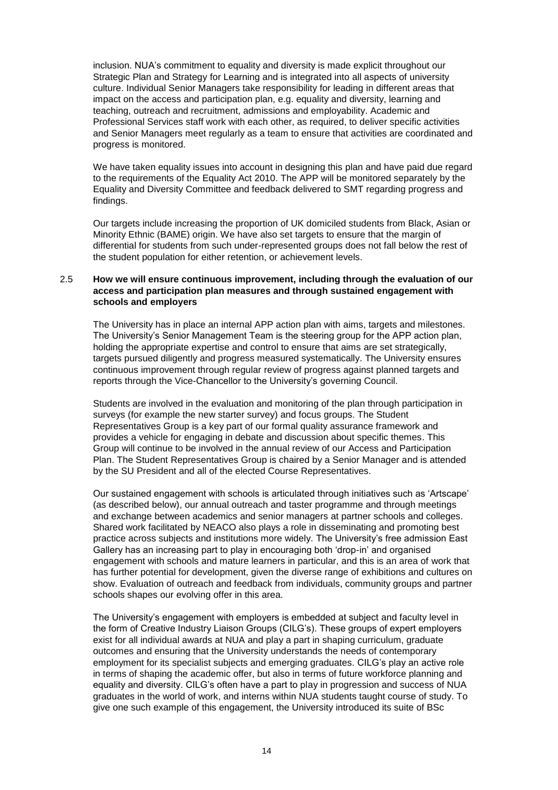Strategic Plan and Strategy for Learning and is integrated into all aspects of university culture. Individual Senior Managers take responsibility for leading in different areas that impact on the access and participation plan, e.g. equality and diversity, learning and progress is monitored. inclusion. NUA's commitment to equality and diversity is made explicit throughout our teaching, outreach and recruitment, admissions and employability. Academic and Professional Services staff work with each other, as required, to deliver specific activities and Senior Managers meet regularly as a team to ensure that activities are coordinated and

 We have taken equality issues into account in designing this plan and have paid due regard to the requirements of the Equality Act 2010. The APP will be monitored separately by the Equality and Diversity Committee and feedback delivered to SMT regarding progress and findings.

findings.<br>Our targets include increasing the proportion of UK domiciled students from Black, Asian or differential for students from such under-represented groups does not fall below the rest of Minority Ethnic (BAME) origin. We have also set targets to ensure that the margin of the student population for either retention, or achievement levels.

### 2.5 **How we will ensure continuous improvement, including through the evaluation of our access and participation plan measures and through sustained engagement with schools and employers**

 The University has in place an internal APP action plan with aims, targets and milestones. targets pursued diligently and progress measured systematically. The University ensures continuous improvement through regular review of progress against planned targets and reports through the Vice-Chancellor to the University's governing Council. The University's Senior Management Team is the steering group for the APP action plan, holding the appropriate expertise and control to ensure that aims are set strategically,

 Group will continue to be involved in the annual review of our Access and Participation Plan. The Student Representatives Group is chaired by a Senior Manager and is attended Students are involved in the evaluation and monitoring of the plan through participation in surveys (for example the new starter survey) and focus groups. The Student Representatives Group is a key part of our formal quality assurance framework and provides a vehicle for engaging in debate and discussion about specific themes. This by the SU President and all of the elected Course Representatives.

 Shared work facilitated by NEACO also plays a role in disseminating and promoting best schools shapes our evolving offer in this area. Our sustained engagement with schools is articulated through initiatives such as 'Artscape' (as described below), our annual outreach and taster programme and through meetings and exchange between academics and senior managers at partner schools and colleges. practice across subjects and institutions more widely. The University's free admission East Gallery has an increasing part to play in encouraging both 'drop-in' and organised engagement with schools and mature learners in particular, and this is an area of work that has further potential for development, given the diverse range of exhibitions and cultures on show. Evaluation of outreach and feedback from individuals, community groups and partner

 The University's engagement with employers is embedded at subject and faculty level in employment for its specialist subjects and emerging graduates. CILG's play an active role equality and diversity. CILG's often have a part to play in progression and success of NUA give one such example of this engagement, the University introduced its suite of BSc the form of Creative Industry Liaison Groups (CILG's). These groups of expert employers exist for all individual awards at NUA and play a part in shaping curriculum, graduate outcomes and ensuring that the University understands the needs of contemporary in terms of shaping the academic offer, but also in terms of future workforce planning and graduates in the world of work, and interns within NUA students taught course of study. To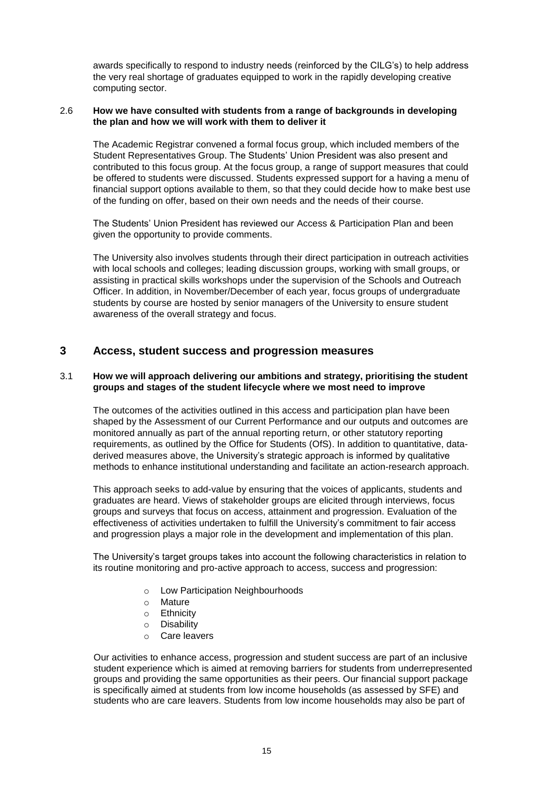awards specifically to respond to industry needs (reinforced by the CILG's) to help address the very real shortage of graduates equipped to work in the rapidly developing creative computing sector.

### 2.6 **How we have consulted with students from a range of backgrounds in developing the plan and how we will work with them to deliver it**

 be offered to students were discussed. Students expressed support for a having a menu of financial support options available to them, so that they could decide how to make best use of the funding on offer, based on their own needs and the needs of their course. The Academic Registrar convened a formal focus group, which included members of the Student Representatives Group. The Students' Union President was also present and contributed to this focus group. At the focus group, a range of support measures that could

 The Students' Union President has reviewed our Access & Participation Plan and been given the opportunity to provide comments.

The University also involves students through their direct participation in outreach activities with local schools and colleges; leading discussion groups, working with small groups, or assisting in practical skills workshops under the supervision of the Schools and Outreach Officer. In addition, in November/December of each year, focus groups of undergraduate students by course are hosted by senior managers of the University to ensure student awareness of the overall strategy and focus.

# <span id="page-15-0"></span> **3 Access, student success and progression measures**

### 3.1 **How we will approach delivering our ambitions and strategy, prioritising the student groups and stages of the student lifecycle where we most need to improve**

 The outcomes of the activities outlined in this access and participation plan have been monitored annually as part of the annual reporting return, or other statutory reporting derived measures above, the University's strategic approach is informed by qualitative methods to enhance institutional understanding and facilitate an action-research approach. shaped by the Assessment of our Current Performance and our outputs and outcomes are requirements, as outlined by the Office for Students (OfS). In addition to quantitative, data-

 groups and surveys that focus on access, attainment and progression. Evaluation of the effectiveness of activities undertaken to fulfill the University's commitment to fair access This approach seeks to add-value by ensuring that the voices of applicants, students and graduates are heard. Views of stakeholder groups are elicited through interviews, focus and progression plays a major role in the development and implementation of this plan.

The University's target groups takes into account the following characteristics in relation to its routine monitoring and pro-active approach to access, success and progression:

- o Low Participation Neighbourhoods
- o Mature
- o Ethnicity
- o Disability
- o Care leavers

 students who are care leavers. Students from low income households may also be part of Our activities to enhance access, progression and student success are part of an inclusive student experience which is aimed at removing barriers for students from underrepresented groups and providing the same opportunities as their peers. Our financial support package is specifically aimed at students from low income households (as assessed by SFE) and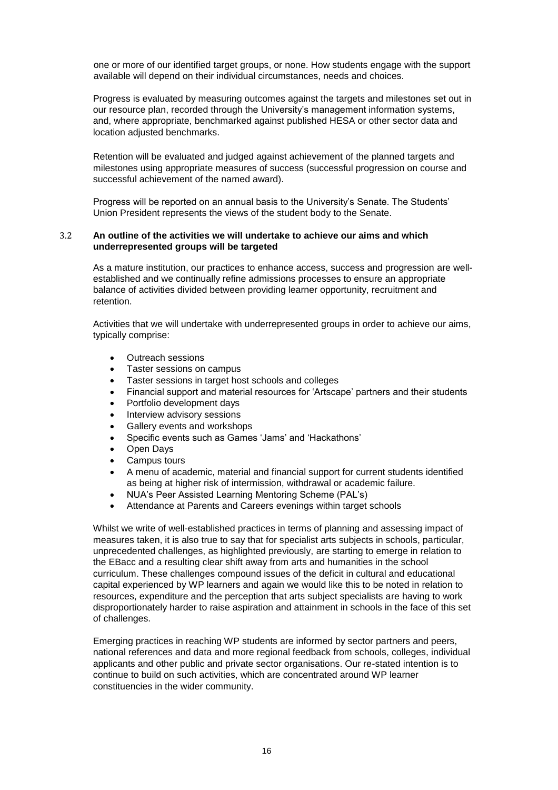one or more of our identified target groups, or none. How students engage with the support available will depend on their individual circumstances, needs and choices.

 Progress is evaluated by measuring outcomes against the targets and milestones set out in our resource plan, recorded through the University's management information systems, and, where appropriate, benchmarked against published HESA or other sector data and location adjusted benchmarks.

 successful achievement of the named award). Retention will be evaluated and judged against achievement of the planned targets and milestones using appropriate measures of success (successful progression on course and

 Union President represents the views of the student body to the Senate. Progress will be reported on an annual basis to the University's Senate. The Students'

### 3.2 **An outline of the activities we will undertake to achieve our aims and which underrepresented groups will be targeted**

 retention. As a mature institution, our practices to enhance access, success and progression are wellestablished and we continually refine admissions processes to ensure an appropriate balance of activities divided between providing learner opportunity, recruitment and

Activities that we will undertake with underrepresented groups in order to achieve our aims, typically comprise:

- Outreach sessions
- Taster sessions on campus
- Taster sessions in target host schools and colleges
- Financial support and material resources for 'Artscape' partners and their students
- Portfolio development days
- Interview advisory sessions
- Gallery events and workshops
- Specific events such as Games 'Jams' and 'Hackathons'
- Open Days
- Campus tours
- A menu of academic, material and financial support for current students identified as being at higher risk of intermission, withdrawal or academic failure.
- NUA's Peer Assisted Learning Mentoring Scheme (PAL's)
- Attendance at Parents and Careers evenings within target schools

 capital experienced by WP learners and again we would like this to be noted in relation to resources, expenditure and the perception that arts subject specialists are having to work Whilst we write of well-established practices in terms of planning and assessing impact of measures taken, it is also true to say that for specialist arts subjects in schools, particular, unprecedented challenges, as highlighted previously, are starting to emerge in relation to the EBacc and a resulting clear shift away from arts and humanities in the school curriculum. These challenges compound issues of the deficit in cultural and educational disproportionately harder to raise aspiration and attainment in schools in the face of this set of challenges.

 constituencies in the wider community. Emerging practices in reaching WP students are informed by sector partners and peers, national references and data and more regional feedback from schools, colleges, individual applicants and other public and private sector organisations. Our re-stated intention is to continue to build on such activities, which are concentrated around WP learner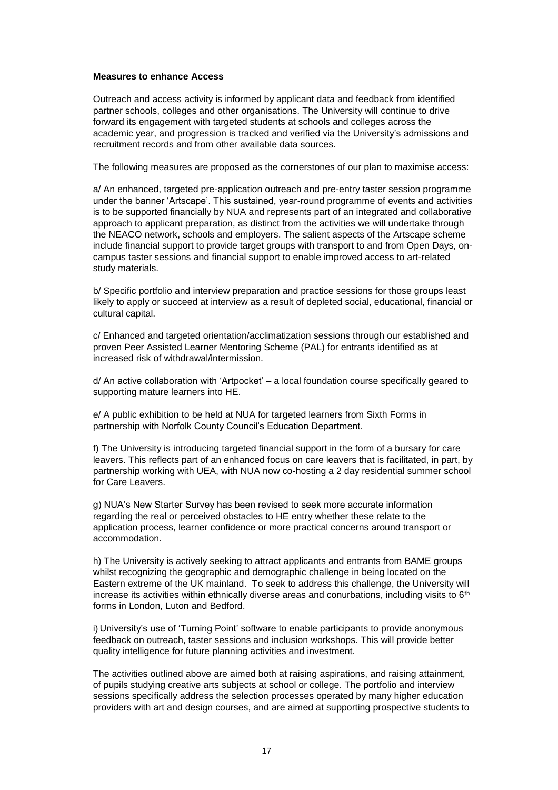### **Measures to enhance Access**

 Outreach and access activity is informed by applicant data and feedback from identified partner schools, colleges and other organisations. The University will continue to drive forward its engagement with targeted students at schools and colleges across the recruitment records and from other available data sources. academic year, and progression is tracked and verified via the University's admissions and

The following measures are proposed as the cornerstones of our plan to maximise access:

 is to be supported financially by NUA and represents part of an integrated and collaborative approach to applicant preparation, as distinct from the activities we will undertake through a/ An enhanced, targeted pre-application outreach and pre-entry taster session programme under the banner 'Artscape'. This sustained, year-round programme of events and activities the NEACO network, schools and employers. The salient aspects of the Artscape scheme include financial support to provide target groups with transport to and from Open Days, oncampus taster sessions and financial support to enable improved access to art-related study materials.

 likely to apply or succeed at interview as a result of depleted social, educational, financial or b/ Specific portfolio and interview preparation and practice sessions for those groups least cultural capital.

 proven Peer Assisted Learner Mentoring Scheme (PAL) for entrants identified as at c/ Enhanced and targeted orientation/acclimatization sessions through our established and increased risk of withdrawal/intermission.

 d/ An active collaboration with 'Artpocket' – a local foundation course specifically geared to supporting mature learners into HE.

 e/ A public exhibition to be held at NUA for targeted learners from Sixth Forms in partnership with Norfolk County Council's Education Department.

 f) The University is introducing targeted financial support in the form of a bursary for care leavers. This reflects part of an enhanced focus on care leavers that is facilitated, in part, by partnership working with UEA, with NUA now co-hosting a 2 day residential summer school for Care Leavers.

 regarding the real or perceived obstacles to HE entry whether these relate to the g) NUA's New Starter Survey has been revised to seek more accurate information application process, learner confidence or more practical concerns around transport or accommodation.

 h) The University is actively seeking to attract applicants and entrants from BAME groups Eastern extreme of the UK mainland. To seek to address this challenge, the University will increase its activities within ethnically diverse areas and conurbations, including visits to  $6<sup>th</sup>$ whilst recognizing the geographic and demographic challenge in being located on the forms in London, Luton and Bedford.

 feedback on outreach, taster sessions and inclusion workshops. This will provide better i) University's use of 'Turning Point' software to enable participants to provide anonymous quality intelligence for future planning activities and investment.

 The activities outlined above are aimed both at raising aspirations, and raising attainment, of pupils studying creative arts subjects at school or college. The portfolio and interview sessions specifically address the selection processes operated by many higher education providers with art and design courses, and are aimed at supporting prospective students to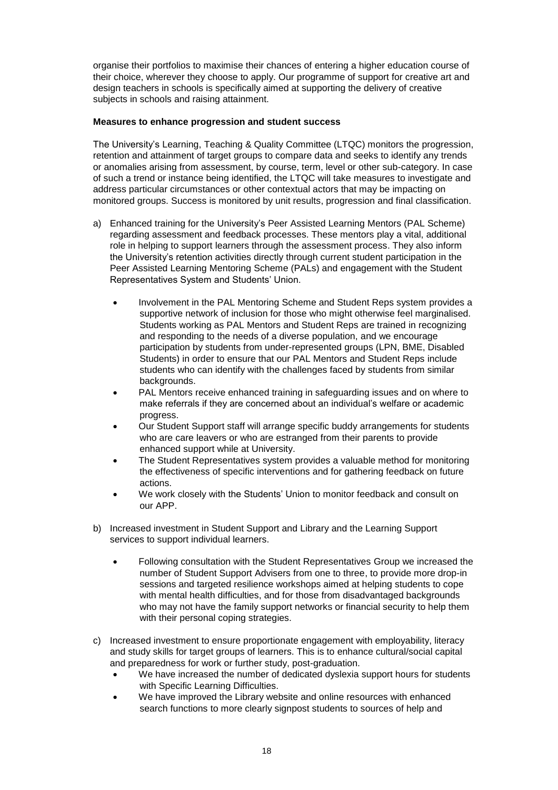organise their portfolios to maximise their chances of entering a higher education course of their choice, wherever they choose to apply. Our programme of support for creative art and design teachers in schools is specifically aimed at supporting the delivery of creative subjects in schools and raising attainment.

### **Measures to enhance progression and student success**

 The University's Learning, Teaching & Quality Committee (LTQC) monitors the progression, retention and attainment of target groups to compare data and seeks to identify any trends monitored groups. Success is monitored by unit results, progression and final classification. or anomalies arising from assessment, by course, term, level or other sub-category. In case of such a trend or instance being identified, the LTQC will take measures to investigate and address particular circumstances or other contextual actors that may be impacting on

- monitored groups. Success is monitored by unit results, progression and final classification.<br>a) Enhanced training for the University's Peer Assisted Learning Mentors (PAL Scheme) regarding assessment and feedback processes. These mentors play a vital, additional role in helping to support learners through the assessment process. They also inform the University's retention activities directly through current student participation in the Peer Assisted Learning Mentoring Scheme (PALs) and engagement with the Student Representatives System and Students' Union.
	- Involvement in the PAL Mentoring Scheme and Student Reps system provides a Students working as PAL Mentors and Student Reps are trained in recognizing Students) in order to ensure that our PAL Mentors and Student Reps include students who can identify with the challenges faced by students from similar supportive network of inclusion for those who might otherwise feel marginalised. and responding to the needs of a diverse population, and we encourage participation by students from under-represented groups (LPN, BME, Disabled backgrounds.
	- PAL Mentors receive enhanced training in safeguarding issues and on where to make referrals if they are concerned about an individual's welfare or academic progress.
	- who are care leavers or who are estranged from their parents to provide Our Student Support staff will arrange specific buddy arrangements for students enhanced support while at University.
	- the effectiveness of specific interventions and for gathering feedback on future The Student Representatives system provides a valuable method for monitoring actions.
	- We work closely with the Students' Union to monitor feedback and consult on our APP.
- b) Increased investment in Student Support and Library and the Learning Support services to support individual learners.
	- Following consultation with the Student Representatives Group we increased the number of Student Support Advisers from one to three, to provide more drop-in sessions and targeted resilience workshops aimed at helping students to cope with mental health difficulties, and for those from disadvantaged backgrounds who may not have the family support networks or financial security to help them with their personal coping strategies.
- and study skills for target groups of learners. This is to enhance cultural/social capital c) Increased investment to ensure proportionate engagement with employability, literacy and preparedness for work or further study, post-graduation.
	- We have increased the number of dedicated dyslexia support hours for students with Specific Learning Difficulties.
	- We have improved the Library website and online resources with enhanced search functions to more clearly signpost students to sources of help and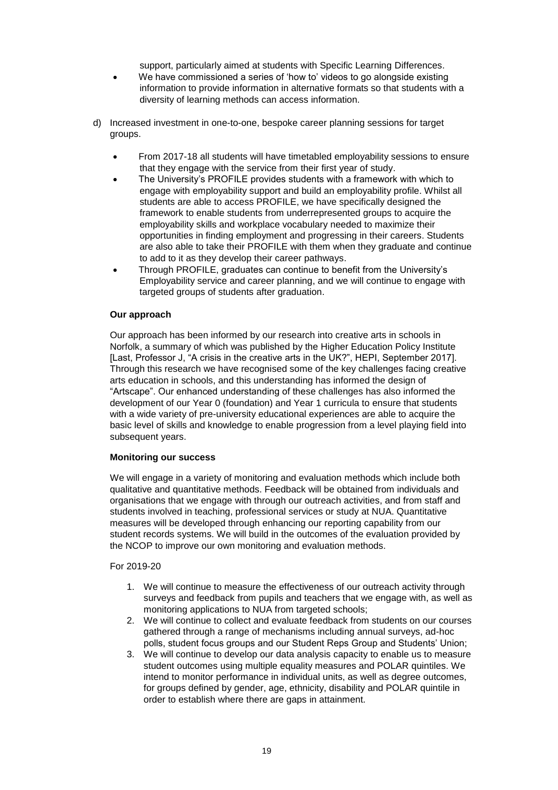support, particularly aimed at students with Specific Learning Differences.

- We have commissioned a series of 'how to' videos to go alongside existing information to provide information in alternative formats so that students with a diversity of learning methods can access information.
- d) Increased investment in one-to-one, bespoke career planning sessions for target groups.
	- that they engage with the service from their first year of study. From 2017-18 all students will have timetabled employability sessions to ensure
	- The University's PROFILE provides students with a framework with which to engage with employability support and build an employability profile. Whilst all students are able to access PROFILE, we have specifically designed the opportunities in finding employment and progressing in their careers. Students are also able to take their PROFILE with them when they graduate and continue to add to it as they develop their career pathways. framework to enable students from underrepresented groups to acquire the employability skills and workplace vocabulary needed to maximize their
	- Employability service and career planning, and we will continue to engage with Through PROFILE, graduates can continue to benefit from the University's targeted groups of students after graduation.

### **Our approach**

 "Artscape". Our enhanced understanding of these challenges has also informed the development of our Year 0 (foundation) and Year 1 curricula to ensure that students Our approach has been informed by our research into creative arts in schools in Norfolk, a summary of which was published by the Higher Education Policy Institute [Last, Professor J, "A crisis in the creative arts in the UK?", HEPI, September 2017]. Through this research we have recognised some of the key challenges facing creative arts education in schools, and this understanding has informed the design of with a wide variety of pre-university educational experiences are able to acquire the basic level of skills and knowledge to enable progression from a level playing field into subsequent years.

### **Monitoring our success**

 We will engage in a variety of monitoring and evaluation methods which include both students involved in teaching, professional services or study at NUA. Quantitative qualitative and quantitative methods. Feedback will be obtained from individuals and organisations that we engage with through our outreach activities, and from staff and measures will be developed through enhancing our reporting capability from our student records systems. We will build in the outcomes of the evaluation provided by the NCOP to improve our own monitoring and evaluation methods.

For 2019-20

- surveys and feedback from pupils and teachers that we engage with, as well as 1. We will continue to measure the effectiveness of our outreach activity through monitoring applications to NUA from targeted schools;
- 2. We will continue to collect and evaluate feedback from students on our courses gathered through a range of mechanisms including annual surveys, ad-hoc polls, student focus groups and our Student Reps Group and Students' Union;
- 3. We will continue to develop our data analysis capacity to enable us to measure intend to monitor performance in individual units, as well as degree outcomes, order to establish where there are gaps in attainment. student outcomes using multiple equality measures and POLAR quintiles. We for groups defined by gender, age, ethnicity, disability and POLAR quintile in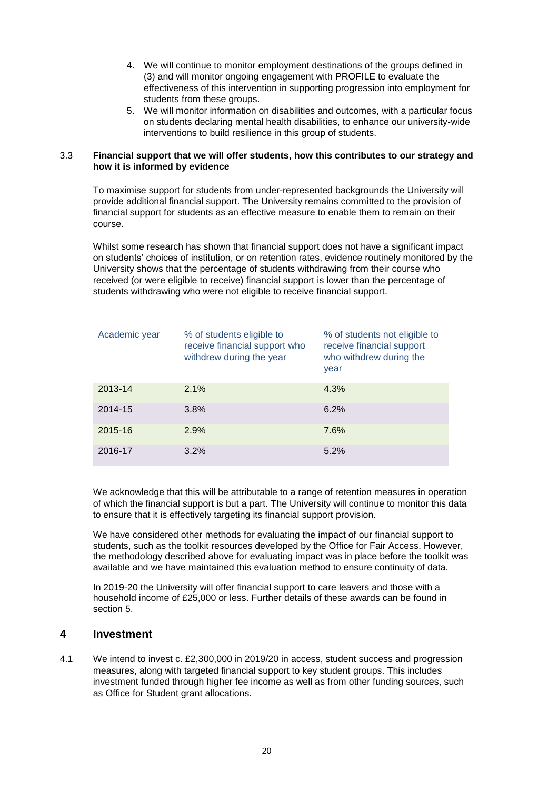- 4. We will continue to monitor employment destinations of the groups defined in students from these groups. (3) and will monitor ongoing engagement with PROFILE to evaluate the effectiveness of this intervention in supporting progression into employment for
- 5. We will monitor information on disabilities and outcomes, with a particular focus on students declaring mental health disabilities, to enhance our university-wide interventions to build resilience in this group of students.

### 3.3 **Financial support that we will offer students, how this contributes to our strategy and how it is informed by evidence**

 To maximise support for students from under-represented backgrounds the University will financial support for students as an effective measure to enable them to remain on their provide additional financial support. The University remains committed to the provision of course.

Whilst some research has shown that financial support does not have a significant impact on students' choices of institution, or on retention rates, evidence routinely monitored by the University shows that the percentage of students withdrawing from their course who received (or were eligible to receive) financial support is lower than the percentage of

| students withdrawing who were not eligible to receive financial support. |                                                                                        |                                                                                               |  |  |  |  |  |  |  |
|--------------------------------------------------------------------------|----------------------------------------------------------------------------------------|-----------------------------------------------------------------------------------------------|--|--|--|--|--|--|--|
| Academic year                                                            | % of students eligible to<br>receive financial support who<br>withdrew during the year | % of students not eligible to<br>receive financial support<br>who withdrew during the<br>year |  |  |  |  |  |  |  |
| 2013-14                                                                  | 2.1%                                                                                   | 4.3%                                                                                          |  |  |  |  |  |  |  |
| 2014-15                                                                  | 3.8%                                                                                   | 6.2%                                                                                          |  |  |  |  |  |  |  |
| 2015-16                                                                  | 2.9%                                                                                   | 7.6%                                                                                          |  |  |  |  |  |  |  |
| 2016-17                                                                  | 3.2%                                                                                   | 5.2%                                                                                          |  |  |  |  |  |  |  |

 to ensure that it is effectively targeting its financial support provision. We acknowledge that this will be attributable to a range of retention measures in operation of which the financial support is but a part. The University will continue to monitor this data

 the methodology described above for evaluating impact was in place before the toolkit was available and we have maintained this evaluation method to ensure continuity of data. We have considered other methods for evaluating the impact of our financial support to students, such as the toolkit resources developed by the Office for Fair Access. However,

 section 5. In 2019-20 the University will offer financial support to care leavers and those with a household income of £25,000 or less. Further details of these awards can be found in

### <span id="page-20-0"></span> **4 Investment**

 4.1 We intend to invest c. £2,300,000 in 2019/20 in access, student success and progression measures, along with targeted financial support to key student groups. This includes investment funded through higher fee income as well as from other funding sources, such as Office for Student grant allocations.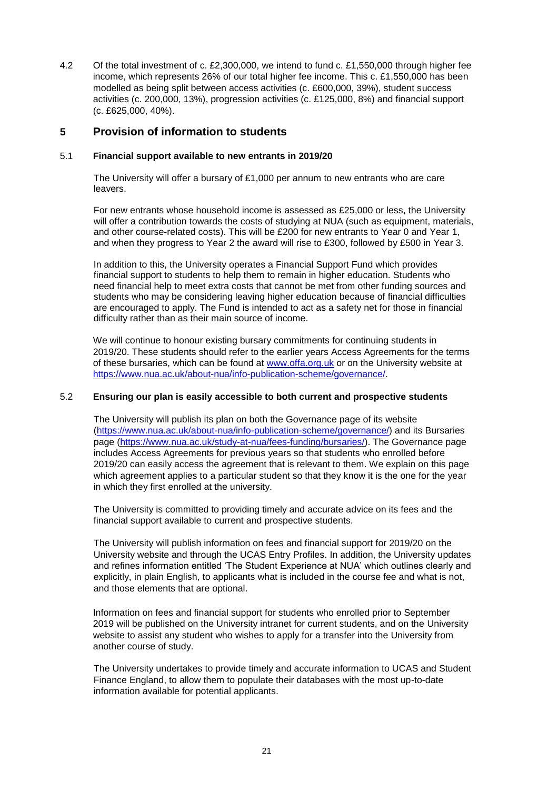4.2 Of the total investment of c. £2,300,000, we intend to fund c. £1,550,000 through higher fee income, which represents 26% of our total higher fee income. This c. £1,550,000 has been activities (c. 200,000, 13%), progression activities (c. £125,000, 8%) and financial support (c. £625,000, 40%). modelled as being split between access activities (c. £600,000, 39%), student success

### <span id="page-21-0"></span>**5 Provision of information to students**

### 5.1 **Financial support available to new entrants in 2019/20**

 The University will offer a bursary of £1,000 per annum to new entrants who are care leavers.

 For new entrants whose household income is assessed as £25,000 or less, the University and other course-related costs). This will be £200 for new entrants to Year 0 and Year 1, and when they progress to Year 2 the award will rise to £300, followed by £500 in Year 3. will offer a contribution towards the costs of studying at NUA (such as equipment, materials,

 In addition to this, the University operates a Financial Support Fund which provides need financial help to meet extra costs that cannot be met from other funding sources and are encouraged to apply. The Fund is intended to act as a safety net for those in financial financial support to students to help them to remain in higher education. Students who students who may be considering leaving higher education because of financial difficulties difficulty rather than as their main source of income.

of these bursaries, which can be found at [www.offa.org.uk](http://www.offa.org.uk/) or on the University website at We will continue to honour existing bursary commitments for continuing students in 2019/20. These students should refer to the earlier years Access Agreements for the terms [https://www.nua.ac.uk/about-nua/info-publication-scheme/governance/.](https://www.nua.ac.uk/about-nua/info-publication-scheme/governance/)

### 5.2 **Ensuring our plan is easily accessible to both current and prospective students**

 The University will publish its plan on both the Governance page of its website [\(https://www.nua.ac.uk/about-nua/info-publication-scheme/governance/\)](https://www.nua.ac.uk/about-nua/info-publication-scheme/governance/) and its Bursaries 2019/20 can easily access the agreement that is relevant to them. We explain on this page page [\(https://www.nua.ac.uk/study-at-nua/fees-funding/bursaries/\)](https://www.nua.ac.uk/study-at-nua/fees-funding/bursaries/). The Governance page includes Access Agreements for previous years so that students who enrolled before which agreement applies to a particular student so that they know it is the one for the year in which they first enrolled at the university.

The University is committed to providing timely and accurate advice on its fees and the financial support available to current and prospective students.

 The University will publish information on fees and financial support for 2019/20 on the University website and through the UCAS Entry Profiles. In addition, the University updates and refines information entitled 'The Student Experience at NUA' which outlines clearly and explicitly, in plain English, to applicants what is included in the course fee and what is not, and those elements that are optional.

 2019 will be published on the University intranet for current students, and on the University Information on fees and financial support for students who enrolled prior to September website to assist any student who wishes to apply for a transfer into the University from another course of study.

The University undertakes to provide timely and accurate information to UCAS and Student Finance England, to allow them to populate their databases with the most up-to-date information available for potential applicants.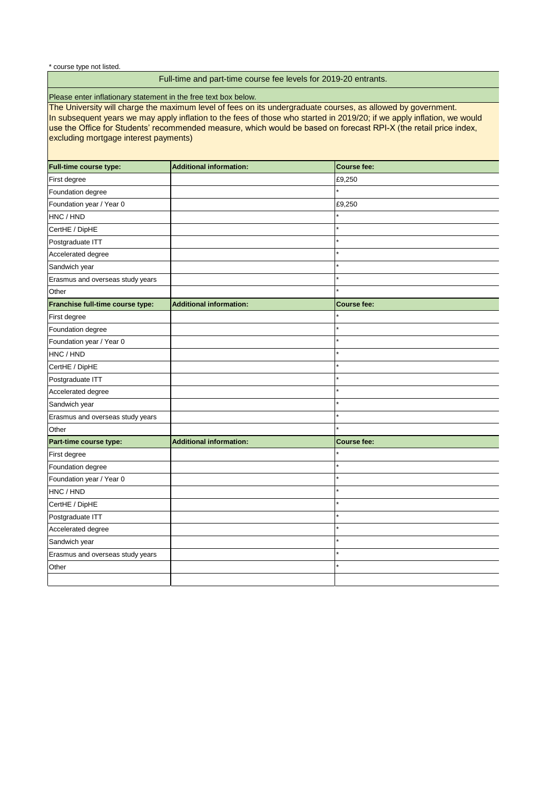I

I

\* course type not listed.

# Full-time and part-time course fee levels for 2019-20 entrants.

Please enter inflationary statement in the free text box below.

 The University will charge the maximum level of fees on its undergraduate courses, as allowed by government.  $\overline{a}$  excluding mortgage interest payments) In subsequent years we may apply inflation to the fees of those who started in 2019/20; if we apply inflation, we would use the Office for Students' recommended measure, which would be based on forecast RPI-X (the retail price index,

| <b>Full-time course type:</b>    | <b>Additional information:</b> | <b>Course fee:</b> |
|----------------------------------|--------------------------------|--------------------|
| First degree                     |                                | £9,250             |
| Foundation degree                |                                |                    |
| Foundation year / Year 0         |                                | £9,250             |
| HNC / HND                        |                                |                    |
| CertHE / DipHE                   |                                |                    |
| Postgraduate ITT                 |                                |                    |
| Accelerated degree               |                                |                    |
| Sandwich year                    |                                |                    |
| Erasmus and overseas study years |                                |                    |
| Other                            |                                |                    |
| Franchise full-time course type: | <b>Additional information:</b> | <b>Course fee:</b> |
| First degree                     |                                |                    |
| Foundation degree                |                                |                    |
| Foundation year / Year 0         |                                |                    |
| HNC / HND                        |                                |                    |
| CertHE / DipHE                   |                                |                    |
| Postgraduate ITT                 |                                |                    |
| Accelerated degree               |                                |                    |
| Sandwich year                    |                                |                    |
| Erasmus and overseas study years |                                |                    |
| Other                            |                                |                    |
| Part-time course type:           | <b>Additional information:</b> | <b>Course fee:</b> |
| First degree                     |                                |                    |
| Foundation degree                |                                | $\star$            |
| Foundation year / Year 0         |                                | $\star$            |
| HNC / HND                        |                                |                    |
| CertHE / DipHE                   |                                |                    |
| Postgraduate ITT                 |                                |                    |
| Accelerated degree               |                                |                    |
| Sandwich year                    |                                |                    |
| Erasmus and overseas study years |                                |                    |
| Other                            |                                |                    |
|                                  |                                |                    |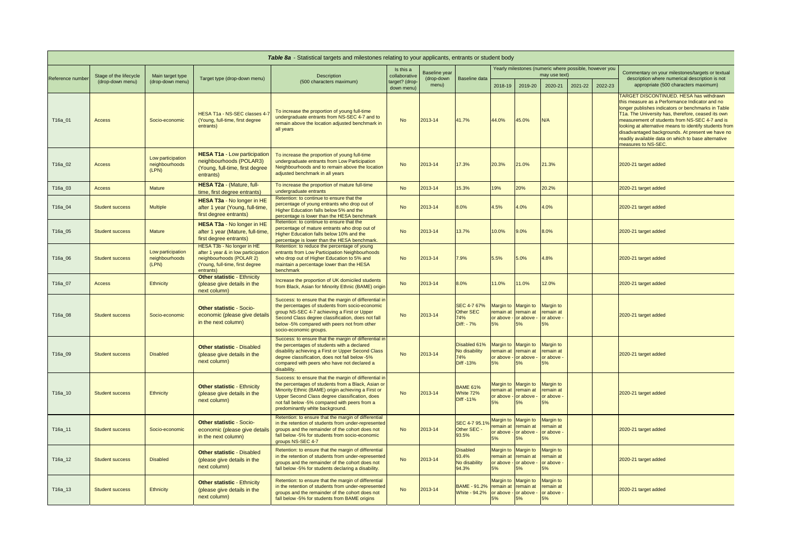| Table 8a - Statistical targets and milestones relating to your applicants, entrants or student body |                        |                                              |                                                                                                                                               |                                                                                                                                                                                                                                                                                                         |                                                            |                      |                                                                                                 |                                                |                                                                                   |                                                                         |         |         |                                                                                                                                                                                                                                                                                                                                                                                                                                                            |
|-----------------------------------------------------------------------------------------------------|------------------------|----------------------------------------------|-----------------------------------------------------------------------------------------------------------------------------------------------|---------------------------------------------------------------------------------------------------------------------------------------------------------------------------------------------------------------------------------------------------------------------------------------------------------|------------------------------------------------------------|----------------------|-------------------------------------------------------------------------------------------------|------------------------------------------------|-----------------------------------------------------------------------------------|-------------------------------------------------------------------------|---------|---------|------------------------------------------------------------------------------------------------------------------------------------------------------------------------------------------------------------------------------------------------------------------------------------------------------------------------------------------------------------------------------------------------------------------------------------------------------------|
|                                                                                                     | Stage of the lifecycle | Main target type                             |                                                                                                                                               | <b>Description</b><br>(500 characters maximum)                                                                                                                                                                                                                                                          | Is this a<br>collaborative<br>target? (drop-<br>down menu) | <b>Baseline year</b> |                                                                                                 |                                                |                                                                                   | Yearly milestones (numeric where possible, however you<br>may use text) |         |         | Commentary on your milestones/targets or textual                                                                                                                                                                                                                                                                                                                                                                                                           |
| Reference number                                                                                    | (drop-down menu)       | (drop-down menu)                             | Target type (drop-down menu)                                                                                                                  |                                                                                                                                                                                                                                                                                                         |                                                            | (drop-down<br>menu)  | <b>Baseline data</b>                                                                            | 2018-19                                        | 2019-20                                                                           | 2020-21                                                                 | 2021-22 | 2022-23 | description where numerical description is not<br>appropriate (500 characters maximum)                                                                                                                                                                                                                                                                                                                                                                     |
| T16a_01                                                                                             | <b>Access</b>          | Socio-economic                               | HESA T1a - NS-SEC classes 4-7<br>(Young, full-time, first degree<br>entrants)                                                                 | To increase the proportion of young full-time<br>undergraduate entrants from NS-SEC 4-7 and to<br>remain above the location adjusted benchmark in<br>all years                                                                                                                                          | <b>No</b>                                                  | 2013-14              | 41.7%                                                                                           | 44.0%                                          | 45.0%                                                                             | N/A                                                                     |         |         | <b>TARGET DISCONTINUED. HESA has withdrawn</b><br>this measure as a Performance Indicator and no<br>longer publishes indicators or benchmarks in Table<br>T1a. The University has, therefore, ceased its own<br>measurement of students from NS-SEC 4-7 and is<br>looking at alternative means to identify students from<br>disadvantaged backgrounds. At present we have no<br>readily available data on which to base alternative<br>measures to NS-SEC. |
| T16a_02                                                                                             | <b>Access</b>          | Low participation<br>neighbourhoods<br>(LPN) | <b>HESA T1a - Low participation</b><br>neighbourhoods (POLAR3)<br>(Young, full-time, first degree<br>entrants)                                | To increase the proportion of young full-time<br>undergraduate entrants from Low Participation<br>Neighbourhoods and to remain above the location<br>adjusted benchmark in all years                                                                                                                    | <b>No</b>                                                  | $2013 - 14$          | 17.3%                                                                                           | 20.3%                                          | 21.0%                                                                             | 21.3%                                                                   |         |         | 2020-21 target added                                                                                                                                                                                                                                                                                                                                                                                                                                       |
| T16a_03                                                                                             | <b>Access</b>          | <b>Mature</b>                                | HESA T2a - (Mature, full-<br>time, first degree entrants)                                                                                     | To increase the proportion of mature full-time<br>undergraduate entrants                                                                                                                                                                                                                                | <b>No</b>                                                  | $2013 - 14$          | 15.3%                                                                                           | 19%                                            | 20%                                                                               | 20.2%                                                                   |         |         | 2020-21 target added                                                                                                                                                                                                                                                                                                                                                                                                                                       |
| T16a_04                                                                                             | <b>Student success</b> | <b>Multiple</b>                              | HESA T3a - No longer in HE<br>after 1 year (Young, full-time,<br>first degree entrants)                                                       | Retention: to continue to ensure that the<br>percentage of young entrants who drop out of<br>Higher Education falls below 5% and the<br>percentage is lower than the HESA benchmark                                                                                                                     | <b>No</b>                                                  | $2013 - 14$          | 8.0%                                                                                            | 4.5%                                           | 4.0%                                                                              | 4.0%                                                                    |         |         | 2020-21 target added                                                                                                                                                                                                                                                                                                                                                                                                                                       |
| T16a_05                                                                                             | <b>Student success</b> | <b>Mature</b>                                | HESA T3a - No longer in HE<br>after 1 year (Mature, full-time,<br>first degree entrants)                                                      | Retention: to continue to ensure that the<br>percentage of mature entrants who drop out of<br>Higher Education falls below 10% and the<br>percentage is lower than the HESA benchmark.                                                                                                                  | <b>No</b>                                                  | $2013 - 14$          | 13.7%                                                                                           | 10.0%                                          | 9.0%                                                                              | 8.0%                                                                    |         |         | 2020-21 target added                                                                                                                                                                                                                                                                                                                                                                                                                                       |
| T16a_06                                                                                             | <b>Student success</b> | Low participation<br>neighbourhoods<br>(LPN) | HESA T3b - No longer in HE<br>after 1 year & in low participation<br>neighbourhoods (POLAR 2)<br>(Young, full-time, first degree<br>entrants) | Retention: to reduce the percentage of young<br>entrants from Low Participation Neighbourhoods<br>who drop out of Higher Education to 5% and<br>maintain a percentage lower than the HESA<br>benchmark                                                                                                  | <b>No</b>                                                  | 2013-14              | 7.9%                                                                                            | 5.5%                                           | 5.0%                                                                              | 4.8%                                                                    |         |         | 2020-21 target added                                                                                                                                                                                                                                                                                                                                                                                                                                       |
| T16a_07                                                                                             | <b>Access</b>          | <b>Ethnicity</b>                             | <b>Other statistic - Ethnicity</b><br>(please give details in the<br>next column)                                                             | Increase the proportion of UK domiciled students<br>from Black, Asian for Minority Ethnic (BAME) origin                                                                                                                                                                                                 | <b>No</b>                                                  | $2013 - 14$          | 8.0%                                                                                            | 11.0%                                          | 1.0%                                                                              | 12.0%                                                                   |         |         | 2020-21 target added                                                                                                                                                                                                                                                                                                                                                                                                                                       |
| T16a_08                                                                                             | <b>Student success</b> | Socio-economic                               | <b>Other statistic - Socio-</b><br>economic (please give details<br>in the next column)                                                       | Success: to ensure that the margin of differential in<br>the percentages of students from socio-economic<br>group NS-SEC 4-7 achieving a First or Upper<br>Second Class degree classification, does not fall<br>below -5% compared with peers not from other<br>socio-economic groups.                  | <b>No</b>                                                  | $2013 - 14$          | SEC 4-7 67%<br>Other SEC<br>74%<br>Diff: - 7%                                                   |                                                | Margin to Margin to Margin to<br>remain at remain at<br>or above - or above -     | remain at<br>or above -                                                 |         |         | 2020-21 target added                                                                                                                                                                                                                                                                                                                                                                                                                                       |
| T16a_09                                                                                             | <b>Student success</b> | <b>Disabled</b>                              | <b>Other statistic - Disabled</b><br>(please give details in the<br>next column)                                                              | Success: to ensure that the margin of differential in<br>the percentages of students with a declared<br>disability achieving a First or Upper Second Class<br>degree classification, does not fall below -5%<br>compared with peers who have not declared a<br>disability.                              | <b>No</b>                                                  | $2013 - 14$          | Disabled 61%<br>No disability<br>74%<br><b>Diff -13%</b>                                        | remain at<br>or above - $\vert$ or above<br>5% | Margin to Margin to Margin to<br>remain at                                        | remain at<br>or above -                                                 |         |         | 2020-21 target added                                                                                                                                                                                                                                                                                                                                                                                                                                       |
| T16a_10                                                                                             | <b>Student success</b> | <b>Ethnicity</b>                             | <b>Other statistic - Ethnicity</b><br>(please give details in the<br>next column)                                                             | Success: to ensure that the margin of differential in<br>the percentages of students from a Black, Asian or<br>Minority Ethnic (BAME) origin achieving a First or<br>Upper Second Class degree classification, does<br>not fall below -5% compared with peers from a<br>predominantly white background. | <b>No</b>                                                  | 2013-14              | <b>BAME 61%</b><br>White 72%<br>Diff -11%                                                       | remain at                                      | Margin to Margin to Margin to<br>remain at<br>or above - $\vert$ or above $\cdot$ | remain at<br>or above -                                                 |         |         | 2020-21 target added                                                                                                                                                                                                                                                                                                                                                                                                                                       |
| T16a_11                                                                                             | <b>Student success</b> | Socio-economic                               | <b>Other statistic - Socio-</b><br>economic (please give details<br>in the next column)                                                       | Retention: to ensure that the margin of differential<br>in the retention of students from under-represented<br>groups and the remainder of the cohort does not<br>fall below -5% for students from socio-economic<br>groups NS-SEC 4-7                                                                  | <b>No</b>                                                  | $2013 - 14$          | SEC 4-7 95.19<br>Other SEC -<br>93.5%                                                           | remain at<br>or above $\frac{1}{2}$ or above   | Margin to Margin to<br>remain at                                                  | Margin to<br>remain at<br>or above -<br>5%                              |         |         | 2020-21 target added                                                                                                                                                                                                                                                                                                                                                                                                                                       |
| T16a_12                                                                                             | <b>Student success</b> | <b>Disabled</b>                              | <b>Other statistic - Disabled</b><br>(please give details in the<br>next column)                                                              | Retention: to ensure that the margin of differential<br>in the retention of students from under-represented<br>groups and the remainder of the cohort does not<br>fall below -5% for students declaring a disability.                                                                                   | <b>No</b>                                                  | $2013 - 14$          | <b>Disabled</b><br>93.4%<br>No disability<br>94.3%                                              | remain at<br>or above -                        | Margin to Margin to<br>remain at<br>or above                                      | Margin to<br>remain at<br>or above -                                    |         |         | 2020-21 target added                                                                                                                                                                                                                                                                                                                                                                                                                                       |
| $\sqrt{716a}$ 13                                                                                    | <b>Student success</b> | Ethnicity                                    | <b>Other statistic - Ethnicity</b><br>(please give details in the<br>next column)                                                             | Retention: to ensure that the margin of differential<br>in the retention of students from under-represented<br>groups and the remainder of the cohort does not<br>fall below -5% for students from BAME origins                                                                                         | No.                                                        | $2013 - 14$          | BAME - 91.2% remain at remain at remain at<br>White - $94.2\%$ or above - or above - or above - |                                                | Margin to Margin to<br>$5\%$                                                      | Margin to<br>5%                                                         |         |         | 2020-21 target added                                                                                                                                                                                                                                                                                                                                                                                                                                       |